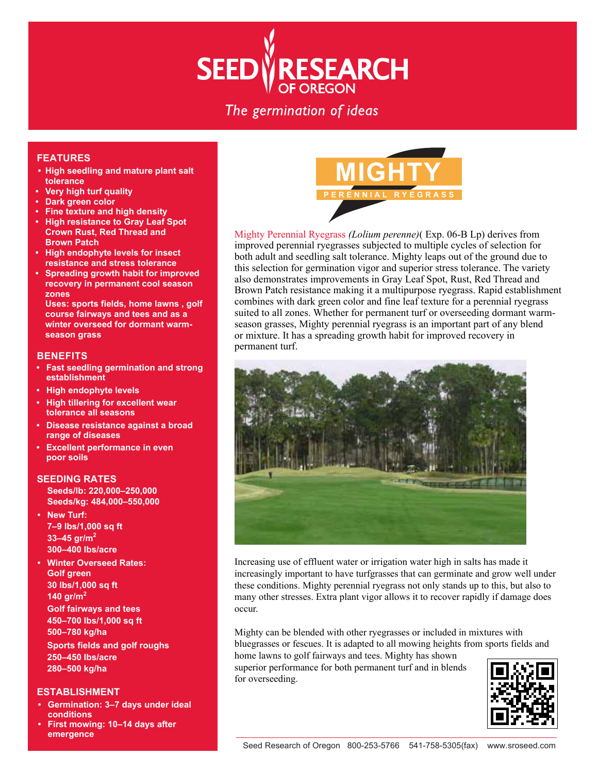# **SEED VRESEARCH**

# The germination of ideas

# **FEATURES**

- **High seedling and mature plant salt tolerance**
- **Very high turf quality**
- **Dark green color**
- **Fine texture and high density**
- **High resistance to Gray Leaf Spot Crown Rust, Red Thread and Brown Patch**
- **High endophyte levels for insect resistance and stress tolerance**
- **Spreading growth habit for improved recovery in permanent cool season zones**

 **Uses: sports fields, home lawns , golf course fairways and tees and as a winter overseed for dormant warmseason grass**

#### **BENEFITS**

- **Fast seedling germination and strong establishment**
- **High endophyte levels**
- **High tillering for excellent wear tolerance all seasons**
- **Disease resistance against a broad range of diseases**
- **Excellent performance in even poor soils**

## **SEEDING RATES**

 **Seeds/lb: 220,000–250,000 Seeds/kg: 484,000–550,000**

- **New Turf: 7–9 lbs/1,000 sq ft 33–45 gr/m<sup>2</sup> 300–400 lbs/acre**
- **Winter Overseed Rates: Golf green 30 lbs/1,000 sq ft 140 gr/m<sup>2</sup> Golf fairways and tees 450–700 lbs/1,000 sq ft 500–780 kg/ha Sports fields and golf roughs 250–450 lbs/acre 280–500 kg/ha**

## **ESTABLISHMENT**

- **Germination: 3–7 days under ideal conditions**
- **First mowing: 10–14 days after emergence**



Mighty Perennial Ryegrass *(Lolium perenne)*( Exp. 06-B Lp) derives from improved perennial ryegrasses subjected to multiple cycles of selection for both adult and seedling salt tolerance. Mighty leaps out of the ground due to this selection for germination vigor and superior stress tolerance. The variety also demonstrates improvements in Gray Leaf Spot, Rust, Red Thread and Brown Patch resistance making it a multipurpose ryegrass. Rapid establishment combines with dark green color and fine leaf texture for a perennial ryegrass suited to all zones. Whether for permanent turf or overseeding dormant warmseason grasses, Mighty perennial ryegrass is an important part of any blend or mixture. It has a spreading growth habit for improved recovery in permanent turf.



Increasing use of effluent water or irrigation water high in salts has made it increasingly important to have turfgrasses that can germinate and grow well under these conditions. Mighty perennial ryegrass not only stands up to this, but also to many other stresses. Extra plant vigor allows it to recover rapidly if damage does occur.

Mighty can be blended with other ryegrasses or included in mixtures with bluegrasses or fescues. It is adapted to all mowing heights from sports fields and home lawns to golf fairways and tees. Mighty has shown

superior performance for both permanent turf and in blends for overseeding.